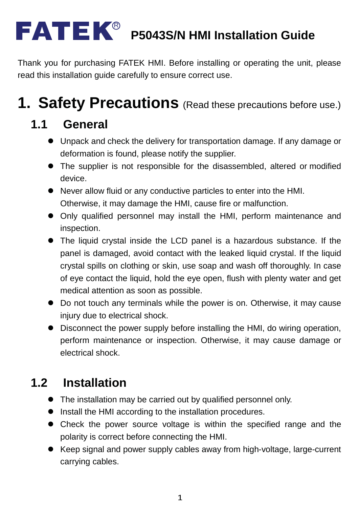#### R **P5043S/N HMI Installation Guide**

Thank you for purchasing FATEK HMI. Before installing or operating the unit, please read this installation guide carefully to ensure correct use.

# **1. Safety Precautions** (Read these precautions before use.)

### **1.1 General**

- Unpack and check the delivery for transportation damage. If any damage or deformation is found, please notify the supplier.
- The supplier is not responsible for the disassembled, altered or modified device.
- Never allow fluid or any conductive particles to enter into the HMI. Otherwise, it may damage the HMI, cause fire or malfunction.
- Only qualified personnel may install the HMI, perform maintenance and inspection.
- The liquid crystal inside the LCD panel is a hazardous substance. If the panel is damaged, avoid contact with the leaked liquid crystal. If the liquid crystal spills on clothing or skin, use soap and wash off thoroughly. In case of eye contact the liquid, hold the eye open, flush with plenty water and get medical attention as soon as possible.
- Do not touch any terminals while the power is on. Otherwise, it may cause injury due to electrical shock.
- Disconnect the power supply before installing the HMI, do wiring operation, perform maintenance or inspection. Otherwise, it may cause damage or electrical shock.

### **1.2 Installation**

- The installation may be carried out by qualified personnel only.
- $\bullet$  Install the HMI according to the installation procedures.
- Check the power source voltage is within the specified range and the polarity is correct before connecting the HMI.
- Keep signal and power supply cables away from high-voltage, large-current carrying cables.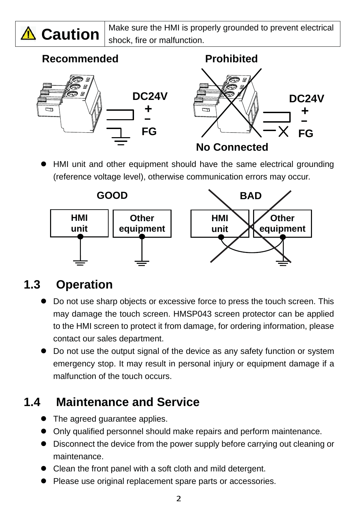

 $\triangle$  **Caution**  $\Big|_{\text{shock-time or malfunction}}^{\text{Make sure the HMI is properly grounded to prevent electrical$ shock, fire or malfunction.

#### Recommended **Prohibited**



 HMI unit and other equipment should have the same electrical grounding (reference voltage level), otherwise communication errors may occur.



### **1.3 Operation**

- Do not use sharp objects or excessive force to press the touch screen. This may damage the touch screen. HMSP043 screen protector can be applied to the HMI screen to protect it from damage, for ordering information, please contact our sales department.
- Do not use the output signal of the device as any safety function or system emergency stop. It may result in personal injury or equipment damage if a malfunction of the touch occurs.

### **1.4 Maintenance and Service**

- The agreed guarantee applies.
- Only qualified personnel should make repairs and perform maintenance.
- Disconnect the device from the power supply before carrying out cleaning or maintenance.
- Clean the front panel with a soft cloth and mild detergent.
- Please use original replacement spare parts or accessories.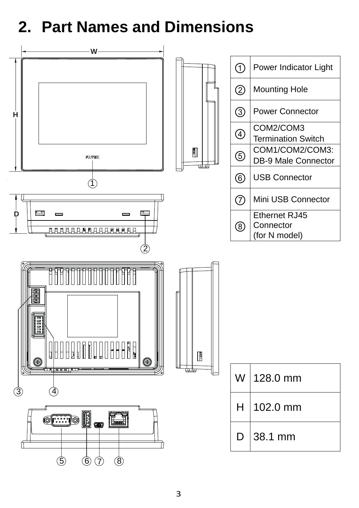## **2. Part Names and Dimensions**

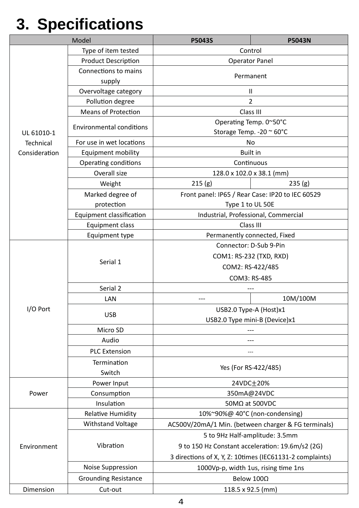# **3. Specifications**

|               | Model                           | P5043S                                                   | <b>P5043N</b> |  |
|---------------|---------------------------------|----------------------------------------------------------|---------------|--|
|               | Type of item tested             | Control                                                  |               |  |
|               | <b>Product Description</b>      | <b>Operator Panel</b>                                    |               |  |
|               | Connections to mains            | Permanent                                                |               |  |
|               | supply                          |                                                          |               |  |
|               | Overvoltage category            |                                                          | Ш             |  |
|               | Pollution degree                | $\overline{2}$                                           |               |  |
|               | <b>Means of Protection</b>      | Class III                                                |               |  |
|               | <b>Environmental conditions</b> | Operating Temp. 0~50°C                                   |               |  |
| UL 61010-1    |                                 | Storage Temp. - 20 ~ 60°C                                |               |  |
| Technical     | For use in wet locations        | No                                                       |               |  |
| Consideration | <b>Equipment mobility</b>       | <b>Built in</b>                                          |               |  |
|               | Operating conditions            | Continuous                                               |               |  |
|               | Overall size                    | 128.0 x 102.0 x 38.1 (mm)                                |               |  |
|               | Weight                          | 215(g)                                                   | 235(g)        |  |
|               | Marked degree of                | Front panel: IP65 / Rear Case: IP20 to IEC 60529         |               |  |
|               | protection                      | Type 1 to UL 50E                                         |               |  |
|               | Equipment classification        | Industrial, Professional, Commercial                     |               |  |
|               | Equipment class                 | Class III                                                |               |  |
|               | Equipment type                  | Permanently connected, Fixed                             |               |  |
|               |                                 | Connector: D-Sub 9-Pin                                   |               |  |
|               | Serial 1                        | COM1: RS-232 (TXD, RXD)                                  |               |  |
|               |                                 | COM2: RS-422/485                                         |               |  |
|               |                                 | COM3: RS-485                                             |               |  |
|               | Serial 2                        |                                                          |               |  |
|               | LAN                             |                                                          | 10M/100M      |  |
| I/O Port      | <b>USB</b>                      | USB2.0 Type-A (Host)x1                                   |               |  |
|               |                                 | USB2.0 Type mini-B (Device)x1                            |               |  |
|               | Micro SD                        |                                                          |               |  |
|               | Audio                           |                                                          |               |  |
|               | <b>PLC Extension</b>            |                                                          |               |  |
|               | Termination                     | Yes (For RS-422/485)                                     |               |  |
|               | Switch                          |                                                          |               |  |
|               | Power Input                     | 24VDC+20%                                                |               |  |
| Power         | Consumption                     | 350mA@24VDC                                              |               |  |
|               | Insulation                      | 50MΩ at 500VDC                                           |               |  |
|               | <b>Relative Humidity</b>        | 10%~90%@ 40°C (non-condensing)                           |               |  |
|               | <b>Withstand Voltage</b>        | AC500V/20mA/1 Min. (between charger & FG terminals)      |               |  |
| Environment   | Vibration                       | 5 to 9Hz Half-amplitude: 3.5mm                           |               |  |
|               |                                 | 9 to 150 Hz Constant acceleration: 19.6m/s2 (2G)         |               |  |
|               |                                 | 3 directions of X, Y, Z: 10times (IEC61131-2 complaints) |               |  |
|               | Noise Suppression               | 1000Vp-p, width 1us, rising time 1ns                     |               |  |
|               | <b>Grounding Resistance</b>     | Below 100Ω                                               |               |  |
| Dimension     | Cut-out                         | 118.5 x 92.5 (mm)                                        |               |  |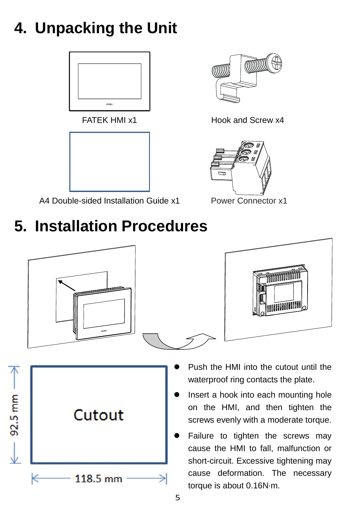# **4. Unpacking the Unit**





A4 Double-sided Installation Guide x1



FATEK HMI x1 Hook and Screw x4



Power Connector x1

## **5. Installation Procedures**





- Push the HMI into the cutout until the waterproof ring contacts the plate.
- Insert a hook into each mounting hole on the HMI, and then tighten the screws evenly with a moderate torque.
- Failure to tighten the screws may cause the HMI to fall, malfunction or short-circuit. Excessive tightening may cause deformation. The necessary torque is about 0.16N·m.

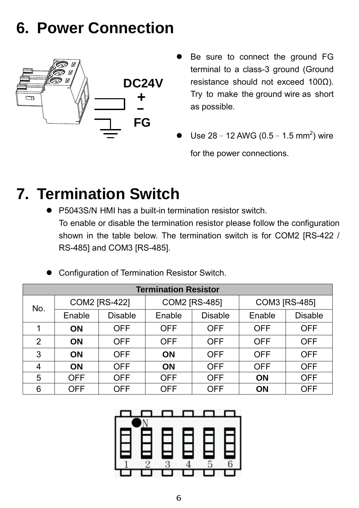## **6. Power Connection**



- Be sure to connect the ground FG terminal to a class-3 ground (Ground resistance should not exceed 100Ω). Try to make the ground wire as short as possible.
- Use  $28 12$  AWG (0.5 1.5 mm<sup>2</sup>) wire for the power connections.

## **7. Termination Switch**

● P5043S/N HMI has a built-in termination resistor switch. To enable or disable the termination resistor please follow the configuration shown in the table below. The termination switch is for COM2 [RS-422 / RS-485] and COM3 [RS-485].

|  | <b>Configuration of Termination Resistor Switch.</b> |  |  |  |
|--|------------------------------------------------------|--|--|--|
|--|------------------------------------------------------|--|--|--|

| <b>Termination Resistor</b> |                      |                |                      |                |               |                |
|-----------------------------|----------------------|----------------|----------------------|----------------|---------------|----------------|
| No.                         | <b>COM2 [RS-422]</b> |                | <b>COM2 [RS-485]</b> |                | COM3 [RS-485] |                |
|                             | Enable               | <b>Disable</b> | Enable               | <b>Disable</b> | Enable        | <b>Disable</b> |
|                             | <b>ON</b>            | <b>OFF</b>     | <b>OFF</b>           | <b>OFF</b>     | <b>OFF</b>    | <b>OFF</b>     |
| 2                           | <b>ON</b>            | <b>OFF</b>     | <b>OFF</b>           | <b>OFF</b>     | <b>OFF</b>    | <b>OFF</b>     |
| 3                           | <b>ON</b>            | <b>OFF</b>     | <b>ON</b>            | <b>OFF</b>     | <b>OFF</b>    | <b>OFF</b>     |
| 4                           | <b>ON</b>            | <b>OFF</b>     | <b>ON</b>            | <b>OFF</b>     | <b>OFF</b>    | <b>OFF</b>     |
| 5                           | <b>OFF</b>           | <b>OFF</b>     | <b>OFF</b>           | <b>OFF</b>     | <b>ON</b>     | <b>OFF</b>     |
| 6                           | <b>OFF</b>           | <b>OFF</b>     | <b>OFF</b>           | <b>OFF</b>     | <b>ON</b>     | <b>OFF</b>     |